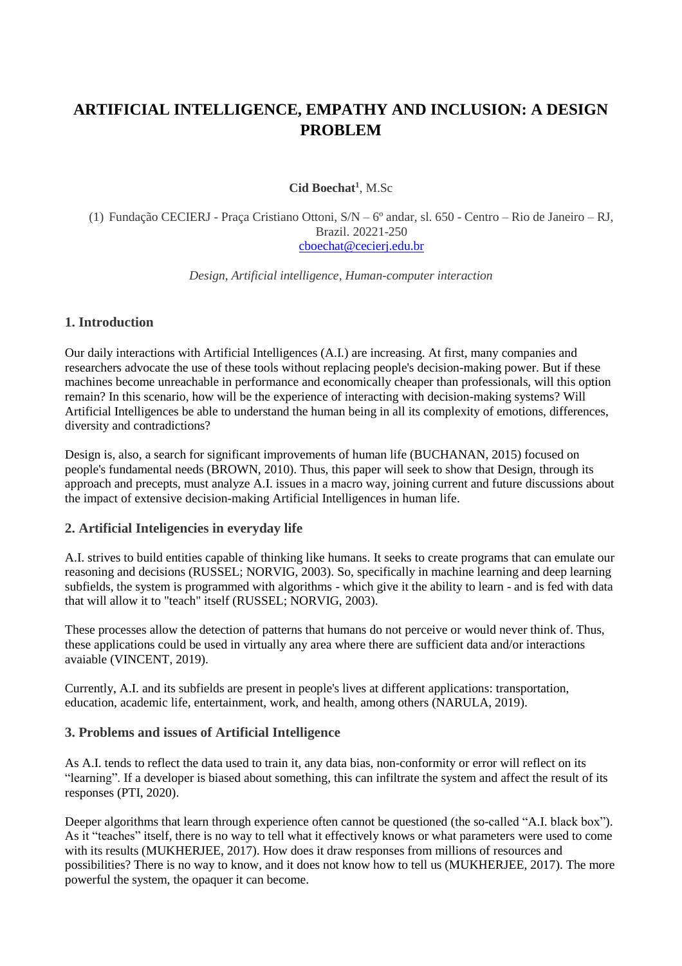# **ARTIFICIAL INTELLIGENCE, EMPATHY AND INCLUSION: A DESIGN PROBLEM**

**Cid Boechat<sup>1</sup>** , M.Sc

(1) Fundação CECIERJ - Praça Cristiano Ottoni, S/N – 6º andar, sl. 650 - Centro – Rio de Janeiro – RJ, Brazil. 20221-250 [cboechat@cecierj.edu.br](mailto:cboechat@cecierj.edu.br)

*Design, Artificial intelligence, Human-computer interaction*

### **1. Introduction**

Our daily interactions with Artificial Intelligences (A.I.) are increasing. At first, many companies and researchers advocate the use of these tools without replacing people's decision-making power. But if these machines become unreachable in performance and economically cheaper than professionals, will this option remain? In this scenario, how will be the experience of interacting with decision-making systems? Will Artificial Intelligences be able to understand the human being in all its complexity of emotions, differences, diversity and contradictions?

Design is, also, a search for significant improvements of human life (BUCHANAN, 2015) focused on people's fundamental needs (BROWN, 2010). Thus, this paper will seek to show that Design, through its approach and precepts, must analyze A.I. issues in a macro way, joining current and future discussions about the impact of extensive decision-making Artificial Intelligences in human life.

#### **2. Artificial Inteligencies in everyday life**

A.I. strives to build entities capable of thinking like humans. It seeks to create programs that can emulate our reasoning and decisions (RUSSEL; NORVIG, 2003). So, specifically in machine learning and deep learning subfields, the system is programmed with algorithms - which give it the ability to learn - and is fed with data that will allow it to "teach" itself (RUSSEL; NORVIG, 2003).

These processes allow the detection of patterns that humans do not perceive or would never think of. Thus, these applications could be used in virtually any area where there are sufficient data and/or interactions avaiable (VINCENT, 2019).

Currently, A.I. and its subfields are present in people's lives at different applications: transportation, education, academic life, entertainment, work, and health, among others (NARULA, 2019).

#### **3. Problems and issues of Artificial Intelligence**

As A.I. tends to reflect the data used to train it, any data bias, non-conformity or error will reflect on its "learning". If a developer is biased about something, this can infiltrate the system and affect the result of its responses (PTI, 2020).

Deeper algorithms that learn through experience often cannot be questioned (the so-called "A.I. black box"). As it "teaches" itself, there is no way to tell what it effectively knows or what parameters were used to come with its results (MUKHERJEE, 2017). How does it draw responses from millions of resources and possibilities? There is no way to know, and it does not know how to tell us (MUKHERJEE, 2017). The more powerful the system, the opaquer it can become.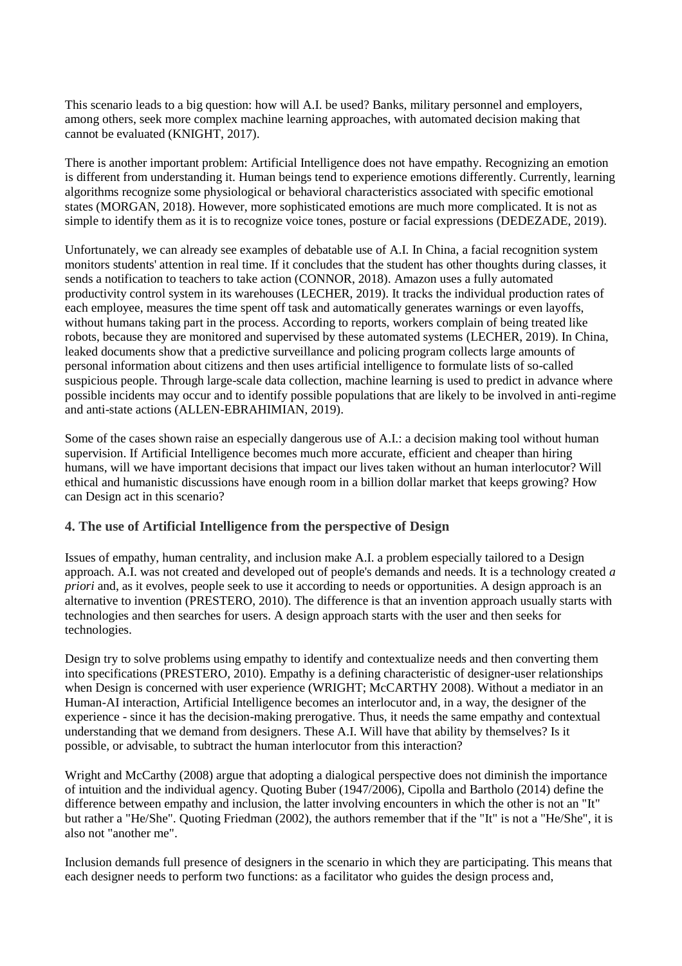This scenario leads to a big question: how will A.I. be used? Banks, military personnel and employers, among others, seek more complex machine learning approaches, with automated decision making that cannot be evaluated (KNIGHT, 2017).

There is another important problem: Artificial Intelligence does not have empathy. Recognizing an emotion is different from understanding it. Human beings tend to experience emotions differently. Currently, learning algorithms recognize some physiological or behavioral characteristics associated with specific emotional states (MORGAN, 2018). However, more sophisticated emotions are much more complicated. It is not as simple to identify them as it is to recognize voice tones, posture or facial expressions (DEDEZADE, 2019).

Unfortunately, we can already see examples of debatable use of A.I. In China, a facial recognition system monitors students' attention in real time. If it concludes that the student has other thoughts during classes, it sends a notification to teachers to take action (CONNOR, 2018). Amazon uses a fully automated productivity control system in its warehouses (LECHER, 2019). It tracks the individual production rates of each employee, measures the time spent off task and automatically generates warnings or even layoffs, without humans taking part in the process. According to reports, workers complain of being treated like robots, because they are monitored and supervised by these automated systems (LECHER, 2019). In China, leaked documents show that a predictive surveillance and policing program collects large amounts of personal information about citizens and then uses artificial intelligence to formulate lists of so-called suspicious people. Through large-scale data collection, machine learning is used to predict in advance where possible incidents may occur and to identify possible populations that are likely to be involved in anti-regime and anti-state actions (ALLEN-EBRAHIMIAN, 2019).

Some of the cases shown raise an especially dangerous use of A.I.: a decision making tool without human supervision. If Artificial Intelligence becomes much more accurate, efficient and cheaper than hiring humans, will we have important decisions that impact our lives taken without an human interlocutor? Will ethical and humanistic discussions have enough room in a billion dollar market that keeps growing? How can Design act in this scenario?

## **4. The use of Artificial Intelligence from the perspective of Design**

Issues of empathy, human centrality, and inclusion make A.I. a problem especially tailored to a Design approach. A.I. was not created and developed out of people's demands and needs. It is a technology created *a priori* and, as it evolves, people seek to use it according to needs or opportunities. A design approach is an alternative to invention (PRESTERO, 2010). The difference is that an invention approach usually starts with technologies and then searches for users. A design approach starts with the user and then seeks for technologies.

Design try to solve problems using empathy to identify and contextualize needs and then converting them into specifications (PRESTERO, 2010). Empathy is a defining characteristic of designer-user relationships when Design is concerned with user experience (WRIGHT; McCARTHY 2008). Without a mediator in an Human-AI interaction, Artificial Intelligence becomes an interlocutor and, in a way, the designer of the experience - since it has the decision-making prerogative. Thus, it needs the same empathy and contextual understanding that we demand from designers. These A.I. Will have that ability by themselves? Is it possible, or advisable, to subtract the human interlocutor from this interaction?

Wright and McCarthy (2008) argue that adopting a dialogical perspective does not diminish the importance of intuition and the individual agency. Quoting Buber (1947/2006), Cipolla and Bartholo (2014) define the difference between empathy and inclusion, the latter involving encounters in which the other is not an "It" but rather a "He/She". Quoting Friedman (2002), the authors remember that if the "It" is not a "He/She", it is also not "another me".

Inclusion demands full presence of designers in the scenario in which they are participating. This means that each designer needs to perform two functions: as a facilitator who guides the design process and,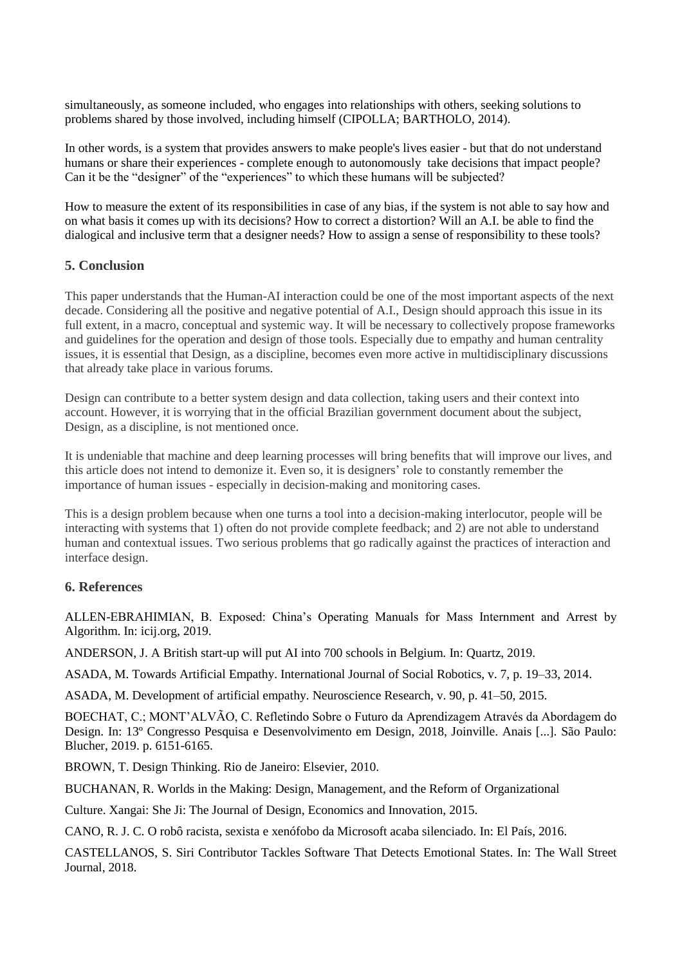simultaneously, as someone included, who engages into relationships with others, seeking solutions to problems shared by those involved, including himself (CIPOLLA; BARTHOLO, 2014).

In other words, is a system that provides answers to make people's lives easier - but that do not understand humans or share their experiences - complete enough to autonomously take decisions that impact people? Can it be the "designer" of the "experiences" to which these humans will be subjected?

How to measure the extent of its responsibilities in case of any bias, if the system is not able to say how and on what basis it comes up with its decisions? How to correct a distortion? Will an A.I. be able to find the dialogical and inclusive term that a designer needs? How to assign a sense of responsibility to these tools?

## **5. Conclusion**

This paper understands that the Human-AI interaction could be one of the most important aspects of the next decade. Considering all the positive and negative potential of A.I., Design should approach this issue in its full extent, in a macro, conceptual and systemic way. It will be necessary to collectively propose frameworks and guidelines for the operation and design of those tools. Especially due to empathy and human centrality issues, it is essential that Design, as a discipline, becomes even more active in multidisciplinary discussions that already take place in various forums.

Design can contribute to a better system design and data collection, taking users and their context into account. However, it is worrying that in the official Brazilian government document about the subject, Design, as a discipline, is not mentioned once.

It is undeniable that machine and deep learning processes will bring benefits that will improve our lives, and this article does not intend to demonize it. Even so, it is designers' role to constantly remember the importance of human issues - especially in decision-making and monitoring cases.

This is a design problem because when one turns a tool into a decision-making interlocutor, people will be interacting with systems that 1) often do not provide complete feedback; and 2) are not able to understand human and contextual issues. Two serious problems that go radically against the practices of interaction and interface design.

## **6. References**

ALLEN-EBRAHIMIAN, B. Exposed: China's Operating Manuals for Mass Internment and Arrest by Algorithm. In: icij.org, 2019.

ANDERSON, J. A British start-up will put AI into 700 schools in Belgium. In: Quartz, 2019.

ASADA, M. Towards Artificial Empathy. International Journal of Social Robotics, v. 7, p. 19–33, 2014.

ASADA, M. Development of artificial empathy. Neuroscience Research, v. 90, p. 41–50, 2015.

BOECHAT, C.; MONT'ALVÃO, C. Refletindo Sobre o Futuro da Aprendizagem Através da Abordagem do Design. In: 13º Congresso Pesquisa e Desenvolvimento em Design, 2018, Joinville. Anais [...]. São Paulo: Blucher, 2019. p. 6151-6165.

BROWN, T. Design Thinking. Rio de Janeiro: Elsevier, 2010.

BUCHANAN, R. Worlds in the Making: Design, Management, and the Reform of Organizational

Culture. Xangai: She Ji: The Journal of Design, Economics and Innovation, 2015.

CANO, R. J. C. O robô racista, sexista e xenófobo da Microsoft acaba silenciado. In: El País, 2016.

CASTELLANOS, S. Siri Contributor Tackles Software That Detects Emotional States. In: The Wall Street Journal, 2018.